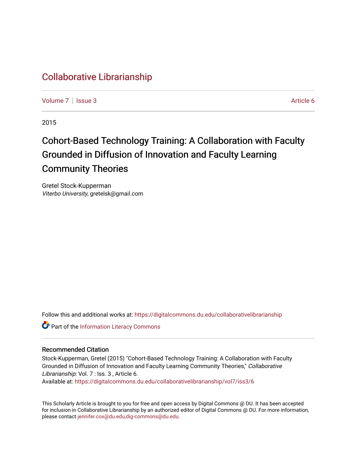# [Collaborative Librarianship](https://digitalcommons.du.edu/collaborativelibrarianship)

[Volume 7](https://digitalcommons.du.edu/collaborativelibrarianship/vol7) | [Issue 3](https://digitalcommons.du.edu/collaborativelibrarianship/vol7/iss3) Article 6

2015

# Cohort-Based Technology Training: A Collaboration with Faculty Grounded in Diffusion of Innovation and Faculty Learning Community Theories

Gretel Stock-Kupperman Viterbo University, gretelsk@gmail.com

Follow this and additional works at: [https://digitalcommons.du.edu/collaborativelibrarianship](https://digitalcommons.du.edu/collaborativelibrarianship?utm_source=digitalcommons.du.edu%2Fcollaborativelibrarianship%2Fvol7%2Fiss3%2F6&utm_medium=PDF&utm_campaign=PDFCoverPages) 

Part of the [Information Literacy Commons](http://network.bepress.com/hgg/discipline/1243?utm_source=digitalcommons.du.edu%2Fcollaborativelibrarianship%2Fvol7%2Fiss3%2F6&utm_medium=PDF&utm_campaign=PDFCoverPages)

#### Recommended Citation

Stock-Kupperman, Gretel (2015) "Cohort-Based Technology Training: A Collaboration with Faculty Grounded in Diffusion of Innovation and Faculty Learning Community Theories," Collaborative Librarianship: Vol. 7 : Iss. 3, Article 6.

Available at: [https://digitalcommons.du.edu/collaborativelibrarianship/vol7/iss3/6](https://digitalcommons.du.edu/collaborativelibrarianship/vol7/iss3/6?utm_source=digitalcommons.du.edu%2Fcollaborativelibrarianship%2Fvol7%2Fiss3%2F6&utm_medium=PDF&utm_campaign=PDFCoverPages) 

This Scholarly Article is brought to you for free and open access by Digital Commons @ DU. It has been accepted for inclusion in Collaborative Librarianship by an authorized editor of Digital Commons @ DU. For more information, please contact [jennifer.cox@du.edu,dig-commons@du.edu](mailto:jennifer.cox@du.edu,dig-commons@du.edu).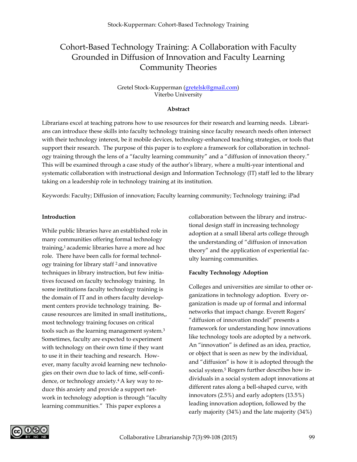# Cohort-Based Technology Training: A Collaboration with Faculty Grounded in Diffusion of Innovation and Faculty Learning Community Theories

#### Gretel Stock-Kupperman (gretelsk@gmail.com) Viterbo University

#### **Abstract**

Librarians excel at teaching patrons how to use resources for their research and learning needs. Librarians can introduce these skills into faculty technology training since faculty research needs often intersect with their technology interest, be it mobile devices, technology-enhanced teaching strategies, or tools that support their research. The purpose of this paper is to explore a framework for collaboration in technology training through the lens of a "faculty learning community" and a "diffusion of innovation theory." This will be examined through a case study of the author's library, where a multi-year intentional and systematic collaboration with instructional design and Information Technology (IT) staff led to the library taking on a leadership role in technology training at its institution.

Keywords: Faculty; Diffusion of innovation; Faculty learning community; Technology training; iPad

#### **Introduction**

While public libraries have an established role in many communities offering formal technology training,1 academic libraries have a more ad hoc role. There have been calls for formal technology training for library staff 2 and innovative techniques in library instruction, but few initiatives focused on faculty technology training. In some institutions faculty technology training is the domain of IT and in others faculty development centers provide technology training. Because resources are limited in small institutions,, most technology training focuses on critical tools such as the learning management system.3 Sometimes, faculty are expected to experiment with technology on their own time if they want to use it in their teaching and research. However, many faculty avoid learning new technologies on their own due to lack of time, self-confidence, or technology anxiety.4 A key way to reduce this anxiety and provide a support network in technology adoption is through "faculty learning communities." This paper explores a

collaboration between the library and instructional design staff in increasing technology adoption at a small liberal arts college through the understanding of "diffusion of innovation theory" and the application of experiential faculty learning communities.

#### **Faculty Technology Adoption**

Colleges and universities are similar to other organizations in technology adoption. Every organization is made up of formal and informal networks that impact change. Everett Rogers' "diffusion of innovation model" presents a framework for understanding how innovations like technology tools are adopted by a network. An "innovation" is defined as an idea, practice, or object that is seen as new by the individual, and "diffusion" is how it is adopted through the social system.<sup>5</sup> Rogers further describes how individuals in a social system adopt innovations at different rates along a bell-shaped curve, with innovators (2.5%) and early adopters (13.5%) leading innovation adoption, followed by the early majority (34%) and the late majority (34%)

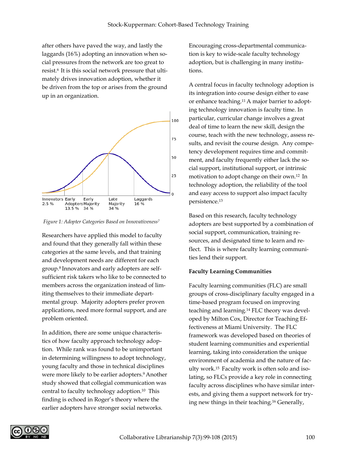after others have paved the way, and lastly the laggards (16%) adopting an innovation when social pressures from the network are too great to resist.6 It is this social network pressure that ultimately drives innovation adoption, whether it be driven from the top or arises from the ground up in an organization.



*Figure 1: Adopter Categories Based on Innovativeness7*

Researchers have applied this model to faculty and found that they generally fall within these categories at the same levels, and that training and development needs are different for each group.8 Innovators and early adopters are selfsufficient risk takers who like to be connected to members across the organization instead of limiting themselves to their immediate departmental group. Majority adopters prefer proven applications, need more formal support, and are problem oriented.

In addition, there are some unique characteristics of how faculty approach technology adoption. While rank was found to be unimportant in determining willingness to adopt technology, young faculty and those in technical disciplines were more likely to be earlier adopters.<sup>9</sup> Another study showed that collegial communication was central to faculty technology adoption.10 This finding is echoed in Roger's theory where the earlier adopters have stronger social networks.

Encouraging cross-departmental communication is key to wide-scale faculty technology adoption, but is challenging in many institutions.

A central focus in faculty technology adoption is its integration into course design either to ease or enhance teaching.11 A major barrier to adopting technology innovation is faculty time. In particular, curricular change involves a great deal of time to learn the new skill, design the course, teach with the new technology, assess results, and revisit the course design. Any competency development requires time and commitment, and faculty frequently either lack the social support, institutional support, or intrinsic motivation to adopt change on their own.12 In technology adoption, the reliability of the tool and easy access to support also impact faculty persistence.13

Based on this research, faculty technology adopters are best supported by a combination of social support, communication, training resources, and designated time to learn and reflect. This is where faculty learning communities lend their support.

#### **Faculty Learning Communities**

Faculty learning communities (FLC) are small groups of cross-disciplinary faculty engaged in a time-based program focused on improving teaching and learning.14 FLC theory was developed by Milton Cox, Director for Teaching Effectiveness at Miami University. The FLC framework was developed based on theories of student learning communities and experiential learning, taking into consideration the unique environment of academia and the nature of faculty work.15 Faculty work is often solo and isolating, so FLCs provide a key role in connecting faculty across disciplines who have similar interests, and giving them a support network for trying new things in their teaching.16 Generally,

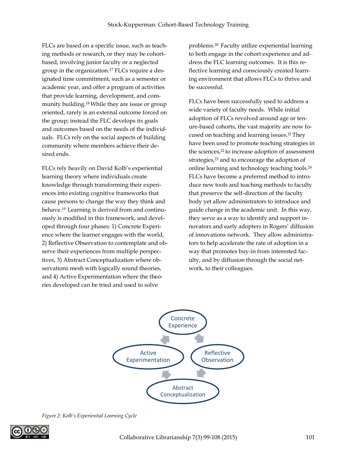FLCs are based on a specific issue, such as teaching methods or research, or they may be cohortbased, involving junior faculty or a neglected group in the organization.17 FLCs require a designated time commitment, such as a semester or academic year, and offer a program of activities that provide learning, development, and community building.18 While they are issue or group oriented, rarely is an external outcome forced on the group; instead the FLC develops its goals and outcomes based on the needs of the individuals. FLCs rely on the social aspects of building community where members achieve their desired ends.

FLCs rely heavily on David Kolb's experiential learning theory where individuals create knowledge through transforming their experiences into existing cognitive frameworks that cause persons to change the way they think and behave.19 Learning is derived from and continuously is modified in this framework, and developed through four phases: 1) Concrete Experience where the learner engages with the world, 2) Reflective Observation to contemplate and observe their experiences from multiple perspectives, 3) Abstract Conceptualization where observations mesh with logically sound theories, and 4) Active Experimentation where the theories developed can be tried and used to solve

problems.20 Faculty utilize experiential learning to both engage in the cohort experience and address the FLC learning outcomes. It is this reflective learning and consciously created learning environment that allows FLCs to thrive and be successful.

FLCs have been successfully used to address a wide variety of faculty needs. While initial adoption of FLCs revolved around age or tenure-based cohorts, the vast majority are now focused on teaching and learning issues.21 They have been used to promote teaching strategies in the sciences,<sup>22</sup> to increase adoption of assessment strategies,<sup>23</sup> and to encourage the adoption of online learning and technology teaching tools.24 FLCs have become a preferred method to introduce new tools and teaching methods to faculty that preserve the self-direction of the faculty body yet allow administrators to introduce and guide change in the academic unit. In this way, they serve as a way to identify and support innovators and early adopters in Rogers' diffusion of innovations network. They allow administrators to help accelerate the rate of adoption in a way that promotes buy-in from interested faculty, and by diffusion through the social network, to their colleagues.



*Figure 2: Kolb's Experiential Learning Cycle*

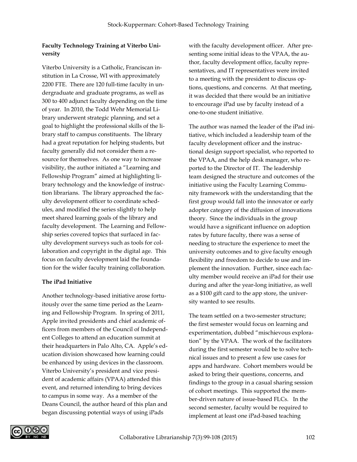### **Faculty Technology Training at Viterbo University**

Viterbo University is a Catholic, Franciscan institution in La Crosse, WI with approximately 2200 FTE. There are 120 full-time faculty in undergraduate and graduate programs, as well as 300 to 400 adjunct faculty depending on the time of year. In 2010, the Todd Wehr Memorial Library underwent strategic planning, and set a goal to highlight the professional skills of the library staff to campus constituents. The library had a great reputation for helping students, but faculty generally did not consider them a resource for themselves. As one way to increase visibility, the author initiated a "Learning and Fellowship Program" aimed at highlighting library technology and the knowledge of instruction librarians. The library approached the faculty development officer to coordinate schedules, and modified the series slightly to help meet shared learning goals of the library and faculty development. The Learning and Fellowship series covered topics that surfaced in faculty development surveys such as tools for collaboration and copyright in the digital age. This focus on faculty development laid the foundation for the wider faculty training collaboration.

#### **The iPad Initiative**

Another technology-based initiative arose fortuitously over the same time period as the Learning and Fellowship Program. In spring of 2011, Apple invited presidents and chief academic officers from members of the Council of Independent Colleges to attend an education summit at their headquarters in Palo Alto, CA. Apple's education division showcased how learning could be enhanced by using devices in the classroom. Viterbo University's president and vice president of academic affairs (VPAA) attended this event, and returned intending to bring devices to campus in some way. As a member of the Deans Council, the author heard of this plan and began discussing potential ways of using iPads

with the faculty development officer. After presenting some initial ideas to the VPAA, the author, faculty development office, faculty representatives, and IT representatives were invited to a meeting with the president to discuss options, questions, and concerns. At that meeting, it was decided that there would be an initiative to encourage iPad use by faculty instead of a one-to-one student initiative.

The author was named the leader of the iPad initiative, which included a leadership team of the faculty development officer and the instructional design support specialist, who reported to the VPAA, and the help desk manager, who reported to the Director of IT. The leadership team designed the structure and outcomes of the initiative using the Faculty Learning Community framework with the understanding that the first group would fall into the innovator or early adopter category of the diffusion of innovations theory. Since the individuals in the group would have a significant influence on adoption rates by future faculty, there was a sense of needing to structure the experience to meet the university outcomes and to give faculty enough flexibility and freedom to decide to use and implement the innovation. Further, since each faculty member would receive an iPad for their use during and after the year-long initiative, as well as a \$100 gift card to the app store, the university wanted to see results.

The team settled on a two-semester structure; the first semester would focus on learning and experimentation, dubbed "mischievous exploration" by the VPAA. The work of the facilitators during the first semester would be to solve technical issues and to present a few use cases for apps and hardware. Cohort members would be asked to bring their questions, concerns, and findings to the group in a casual sharing session of cohort meetings. This supported the member-driven nature of issue-based FLCs. In the second semester, faculty would be required to implement at least one iPad-based teaching

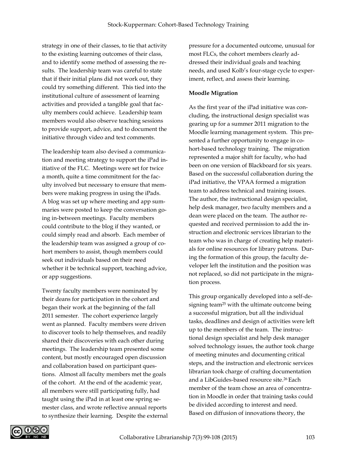strategy in one of their classes, to tie that activity to the existing learning outcomes of their class, and to identify some method of assessing the results. The leadership team was careful to state that if their initial plans did not work out, they could try something different. This tied into the institutional culture of assessment of learning activities and provided a tangible goal that faculty members could achieve. Leadership team members would also observe teaching sessions to provide support, advice, and to document the initiative through video and text comments.

The leadership team also devised a communication and meeting strategy to support the iPad initiative of the FLC. Meetings were set for twice a month, quite a time commitment for the faculty involved but necessary to ensure that members were making progress in using the iPads. A blog was set up where meeting and app summaries were posted to keep the conversation going in-between meetings. Faculty members could contribute to the blog if they wanted, or could simply read and absorb. Each member of the leadership team was assigned a group of cohort members to assist, though members could seek out individuals based on their need whether it be technical support, teaching advice, or app suggestions.

Twenty faculty members were nominated by their deans for participation in the cohort and began their work at the beginning of the fall 2011 semester. The cohort experience largely went as planned. Faculty members were driven to discover tools to help themselves, and readily shared their discoveries with each other during meetings. The leadership team presented some content, but mostly encouraged open discussion and collaboration based on participant questions. Almost all faculty members met the goals of the cohort. At the end of the academic year, all members were still participating fully, had taught using the iPad in at least one spring semester class, and wrote reflective annual reports to synthesize their learning. Despite the external

pressure for a documented outcome, unusual for most FLCs, the cohort members clearly addressed their individual goals and teaching needs, and used Kolb's four-stage cycle to experiment, reflect, and assess their learning.

#### **Moodle Migration**

As the first year of the iPad initiative was concluding, the instructional design specialist was gearing up for a summer 2011 migration to the Moodle learning management system. This presented a further opportunity to engage in cohort-based technology training. The migration represented a major shift for faculty, who had been on one version of Blackboard for six years. Based on the successful collaboration during the iPad initiative, the VPAA formed a migration team to address technical and training issues. The author, the instructional design specialist, help desk manager, two faculty members and a dean were placed on the team. The author requested and received permission to add the instruction and electronic services librarian to the team who was in charge of creating help materials for online resources for library patrons. During the formation of this group, the faculty developer left the institution and the position was not replaced, so did not participate in the migration process.

This group organically developed into a self-designing team<sup>25</sup> with the ultimate outcome being a successful migration, but all the individual tasks, deadlines and design of activities were left up to the members of the team. The instructional design specialist and help desk manager solved technology issues, the author took charge of meeting minutes and documenting critical steps, and the instruction and electronic services librarian took charge of crafting documentation and a LibGuides-based resource site.26 Each member of the team chose an area of concentration in Moodle in order that training tasks could be divided according to interest and need. Based on diffusion of innovations theory, the

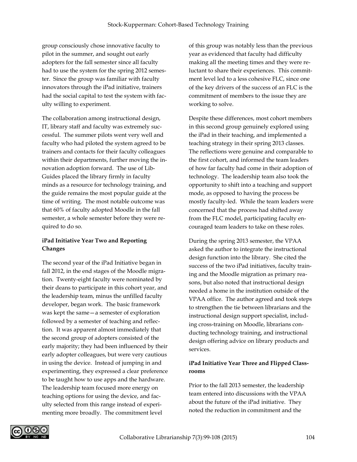group consciously chose innovative faculty to pilot in the summer, and sought out early adopters for the fall semester since all faculty had to use the system for the spring 2012 semester. Since the group was familiar with faculty innovators through the iPad initiative, trainers had the social capital to test the system with faculty willing to experiment.

The collaboration among instructional design, IT, library staff and faculty was extremely successful. The summer pilots went very well and faculty who had piloted the system agreed to be trainers and contacts for their faculty colleagues within their departments, further moving the innovation adoption forward. The use of Lib-Guides placed the library firmly in faculty minds as a resource for technology training, and the guide remains the most popular guide at the time of writing. The most notable outcome was that 60% of faculty adopted Moodle in the fall semester, a whole semester before they were required to do so.

## **iPad Initiative Year Two and Reporting Changes**

The second year of the iPad Initiative began in fall 2012, in the end stages of the Moodle migration. Twenty-eight faculty were nominated by their deans to participate in this cohort year, and the leadership team, minus the unfilled faculty developer, began work. The basic framework was kept the same—a semester of exploration followed by a semester of teaching and reflection. It was apparent almost immediately that the second group of adopters consisted of the early majority; they had been influenced by their early adopter colleagues, but were very cautious in using the device. Instead of jumping in and experimenting, they expressed a clear preference to be taught how to use apps and the hardware. The leadership team focused more energy on teaching options for using the device, and faculty selected from this range instead of experimenting more broadly. The commitment level

of this group was notably less than the previous year as evidenced that faculty had difficulty making all the meeting times and they were reluctant to share their experiences. This commitment level led to a less cohesive FLC, since one of the key drivers of the success of an FLC is the commitment of members to the issue they are working to solve.

Despite these differences, most cohort members in this second group genuinely explored using the iPad in their teaching, and implemented a teaching strategy in their spring 2013 classes. The reflections were genuine and comparable to the first cohort, and informed the team leaders of how far faculty had come in their adoption of technology. The leadership team also took the opportunity to shift into a teaching and support mode, as opposed to having the process be mostly faculty-led. While the team leaders were concerned that the process had shifted away from the FLC model, participating faculty encouraged team leaders to take on these roles.

During the spring 2013 semester, the VPAA asked the author to integrate the instructional design function into the library. She cited the success of the two iPad initiatives, faculty training and the Moodle migration as primary reasons, but also noted that instructional design needed a home in the institution outside of the VPAA office. The author agreed and took steps to strengthen the tie between librarians and the instructional design support specialist, including cross-training on Moodle, librarians conducting technology training, and instructional design offering advice on library products and services.

## **iPad Initiative Year Three and Flipped Classrooms**

Prior to the fall 2013 semester, the leadership team entered into discussions with the VPAA about the future of the iPad initiative. They noted the reduction in commitment and the

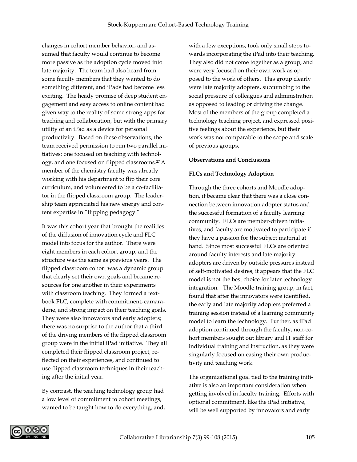changes in cohort member behavior, and assumed that faculty would continue to become more passive as the adoption cycle moved into late majority. The team had also heard from some faculty members that they wanted to do something different, and iPads had become less exciting. The heady promise of deep student engagement and easy access to online content had given way to the reality of some strong apps for teaching and collaboration, but with the primary utility of an iPad as a device for personal productivity. Based on these observations, the team received permission to run two parallel initiatives: one focused on teaching with technology, and one focused on flipped classrooms.27 A member of the chemistry faculty was already working with his department to flip their core curriculum, and volunteered to be a co-facilitator in the flipped classroom group. The leadership team appreciated his new energy and content expertise in "flipping pedagogy."

It was this cohort year that brought the realities of the diffusion of innovation cycle and FLC model into focus for the author. There were eight members in each cohort group, and the structure was the same as previous years. The flipped classroom cohort was a dynamic group that clearly set their own goals and became resources for one another in their experiments with classroom teaching. They formed a textbook FLC, complete with commitment, camaraderie, and strong impact on their teaching goals. They were also innovators and early adopters; there was no surprise to the author that a third of the driving members of the flipped classroom group were in the initial iPad initiative. They all completed their flipped classroom project, reflected on their experiences, and continued to use flipped classroom techniques in their teaching after the initial year.

By contrast, the teaching technology group had a low level of commitment to cohort meetings, wanted to be taught how to do everything, and,

with a few exceptions, took only small steps towards incorporating the iPad into their teaching. They also did not come together as a group, and were very focused on their own work as opposed to the work of others. This group clearly were late majority adopters, succumbing to the social pressure of colleagues and administration as opposed to leading or driving the change. Most of the members of the group completed a technology teaching project, and expressed positive feelings about the experience, but their work was not comparable to the scope and scale of previous groups.

#### **Observations and Conclusions**

#### **FLCs and Technology Adoption**

Through the three cohorts and Moodle adoption, it became clear that there was a close connection between innovation adopter status and the successful formation of a faculty learning community. FLCs are member-driven initiatives, and faculty are motivated to participate if they have a passion for the subject material at hand. Since most successful FLCs are oriented around faculty interests and late majority adopters are driven by outside pressures instead of self-motivated desires, it appears that the FLC model is not the best choice for later technology integration. The Moodle training group, in fact, found that after the innovators were identified, the early and late majority adopters preferred a training session instead of a learning community model to learn the technology. Further, as iPad adoption continued through the faculty, non-cohort members sought out library and IT staff for individual training and instruction, as they were singularly focused on easing their own productivity and teaching work.

The organizational goal tied to the training initiative is also an important consideration when getting involved in faculty training. Efforts with optional commitment, like the iPad initiative, will be well supported by innovators and early

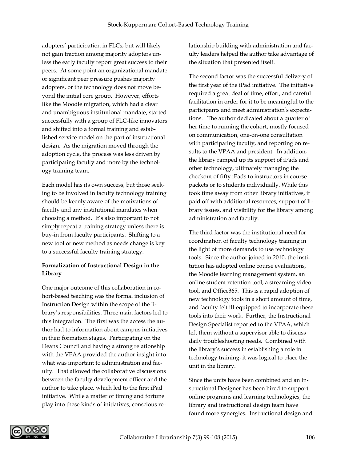adopters' participation in FLCs, but will likely not gain traction among majority adopters unless the early faculty report great success to their peers. At some point an organizational mandate or significant peer pressure pushes majority adopters, or the technology does not move beyond the initial core group. However, efforts like the Moodle migration, which had a clear and unambiguous institutional mandate, started successfully with a group of FLC-like innovators and shifted into a formal training and established service model on the part of instructional design. As the migration moved through the adoption cycle, the process was less driven by participating faculty and more by the technology training team.

Each model has its own success, but those seeking to be involved in faculty technology training should be keenly aware of the motivations of faculty and any institutional mandates when choosing a method. It's also important to not simply repeat a training strategy unless there is buy-in from faculty participants. Shifting to a new tool or new method as needs change is key to a successful faculty training strategy.

# **Formalization of Instructional Design in the Library**

One major outcome of this collaboration in cohort-based teaching was the formal inclusion of Instruction Design within the scope of the library's responsibilities. Three main factors led to this integration. The first was the access the author had to information about campus initiatives in their formation stages. Participating on the Deans Council and having a strong relationship with the VPAA provided the author insight into what was important to administration and faculty. That allowed the collaborative discussions between the faculty development officer and the author to take place, which led to the first iPad initiative. While a matter of timing and fortune play into these kinds of initiatives, conscious relationship building with administration and faculty leaders helped the author take advantage of the situation that presented itself.

The second factor was the successful delivery of the first year of the iPad initiative. The initiative required a great deal of time, effort, and careful facilitation in order for it to be meaningful to the participants and meet administration's expectations. The author dedicated about a quarter of her time to running the cohort, mostly focused on communication, one-on-one consultation with participating faculty, and reporting on results to the VPAA and president. In addition, the library ramped up its support of iPads and other technology, ultimately managing the checkout of fifty iPads to instructors in course packets or to students individually. While this took time away from other library initiatives, it paid off with additional resources, support of library issues, and visibility for the library among administration and faculty.

The third factor was the institutional need for coordination of faculty technology training in the light of more demands to use technology tools. Since the author joined in 2010, the institution has adopted online course evaluations, the Moodle learning management system, an online student retention tool, a streaming video tool, and Office365. This is a rapid adoption of new technology tools in a short amount of time, and faculty felt ill-equipped to incorporate these tools into their work. Further, the Instructional Design Specialist reported to the VPAA, which left them without a supervisor able to discuss daily troubleshooting needs. Combined with the library's success in establishing a role in technology training, it was logical to place the unit in the library.

Since the units have been combined and an Instructional Designer has been hired to support online programs and learning technologies, the library and instructional design team have found more synergies. Instructional design and

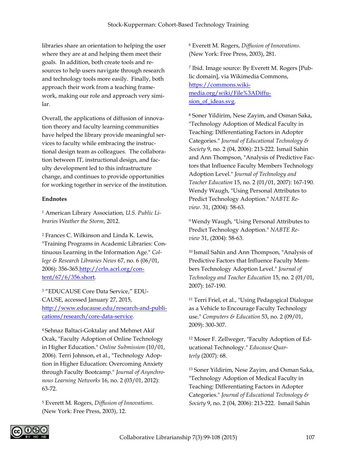libraries share an orientation to helping the user where they are at and helping them meet their goals. In addition, both create tools and resources to help users navigate through research and technology tools more easily. Finally, both approach their work from a teaching framework, making our role and approach very similar.

Overall, the applications of diffusion of innovation theory and faculty learning communities have helped the library provide meaningful services to faculty while embracing the instructional design team as colleagues. The collaboration between IT, instructional design, and faculty development led to this infrastructure change, and continues to provide opportunities for working together in service of the institution.

#### **Endnotes**

<sup>1</sup> American Library Association*, U.S. Public Libraries Weather the Storm*, 2012.

<sup>2</sup> Frances C. Wilkinson and Linda K. Lewis, "Training Programs in Academic Libraries: Continuous Learning in the Information Age." *College & Research Libraries News* 67, no. 6 (06/01, 2006): 356-365.http://crln.acrl.org/content/67/6/356.short.

<sup>3</sup> "EDUCAUSE Core Data Service," EDU-CAUSE, accessed January 27, 2015, http://www.educause.edu/research-and-publications/research/core-data-service.

4 Sehnaz Baltaci-Goktalay and Mehmet Akif Ocak, "Faculty Adoption of Online Technology in Higher Education." *Online Submission* (10/01, 2006). Terri Johnson, et al., "Technology Adoption in Higher Education: Overcoming Anxiety through Faculty Bootcamp." *Journal of Asynchronous Learning Networks* 16, no. 2 (03/01, 2012): 63-72.

<sup>5</sup> Everett M. Rogers, *Diffusion of Innovations*. (New York: Free Press, 2003), 12.

<sup>6</sup> Everett M. Rogers, *Diffusion of Innovations*. (New York: Free Press, 2003), 281.

<sup>7</sup> Ibid. Image source: By Everett M. Rogers [Public domain], via Wikimedia Commons, https://commons.wikimedia.org/wiki/File%3ADiffusion\_of\_ideas.svg.

<sup>8</sup> Soner Yildirim, Nese Zayim, and Osman Saka, "Technology Adoption of Medical Faculty in Teaching: Differentiating Factors in Adopter Categories." *Journal of Educational Technology & Society* 9, no. 2 (04, 2006): 213-222. Ismail Sahin and Ann Thompson, "Analysis of Predictive Factors that Influence Faculty Members Technology Adoption Level." *Journal of Technology and Teacher Education* 15, no. 2 (01/01, 2007): 167-190. Wendy Waugh, "Using Personal Attributes to Predict Technology Adoption." *NABTE Review.* 31, (2004): 58-63.

<sup>9</sup> Wendy Waugh, "Using Personal Attributes to Predict Technology Adoption." *NABTE Review* 31, (2004): 58-63.

<sup>10</sup> Ismail Sahin and Ann Thompson, "Analysis of Predictive Factors that Influence Faculty Members Technology Adoption Level." *Journal of Technology and Teacher Education* 15, no. 2 (01/01, 2007): 167-190.

<sup>11</sup> Terri Friel, et al., "Using Pedagogical Dialogue as a Vehicle to Encourage Faculty Technology use." *Computers & Education* 53, no. 2 (09/01, 2009): 300-307.

<sup>12</sup> Moser F. Zellweger, "Faculty Adoption of Educational Technology." *Educause Quarterly* (2007): 68.

<sup>13</sup> Soner Yildirim, Nese Zayim, and Osman Saka, "Technology Adoption of Medical Faculty in Teaching: Differentiating Factors in Adopter Categories." *Journal of Educational Technology & Society* 9, no. 2 (04, 2006): 213-222. Ismail Sahin